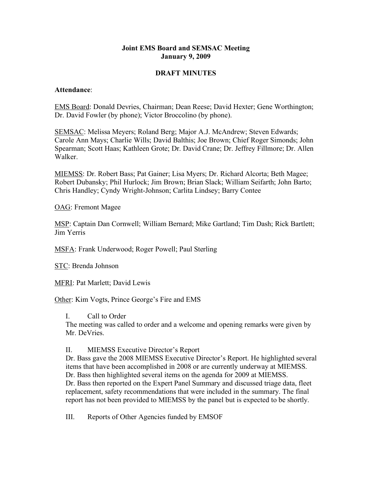## **Joint EMS Board and SEMSAC Meeting January 9, 2009**

## **DRAFT MINUTES**

#### **Attendance**:

EMS Board: Donald Devries, Chairman; Dean Reese; David Hexter; Gene Worthington; Dr. David Fowler (by phone); Victor Broccolino (by phone).

SEMSAC: Melissa Meyers; Roland Berg; Major A.J. McAndrew; Steven Edwards; Carole Ann Mays; Charlie Wills; David Balthis; Joe Brown; Chief Roger Simonds; John Spearman; Scott Haas; Kathleen Grote; Dr. David Crane; Dr. Jeffrey Fillmore; Dr. Allen Walker.

MIEMSS: Dr. Robert Bass; Pat Gainer; Lisa Myers; Dr. Richard Alcorta; Beth Magee; Robert Dubansky; Phil Hurlock; Jim Brown; Brian Slack; William Seifarth; John Barto; Chris Handley; Cyndy Wright-Johnson; Carlita Lindsey; Barry Contee

OAG: Fremont Magee

MSP: Captain Dan Cornwell; William Bernard; Mike Gartland; Tim Dash; Rick Bartlett; Jim Yerris

MSFA: Frank Underwood; Roger Powell; Paul Sterling

STC: Brenda Johnson

MFRI: Pat Marlett; David Lewis

Other: Kim Vogts, Prince George's Fire and EMS

I. Call to Order

The meeting was called to order and a welcome and opening remarks were given by Mr. DeVries.

### II. MIEMSS Executive Director's Report

Dr. Bass gave the 2008 MIEMSS Executive Director's Report. He highlighted several items that have been accomplished in 2008 or are currently underway at MIEMSS. Dr. Bass then highlighted several items on the agenda for 2009 at MIEMSS. Dr. Bass then reported on the Expert Panel Summary and discussed triage data, fleet replacement, safety recommendations that were included in the summary. The final report has not been provided to MIEMSS by the panel but is expected to be shortly.

III. Reports of Other Agencies funded by EMSOF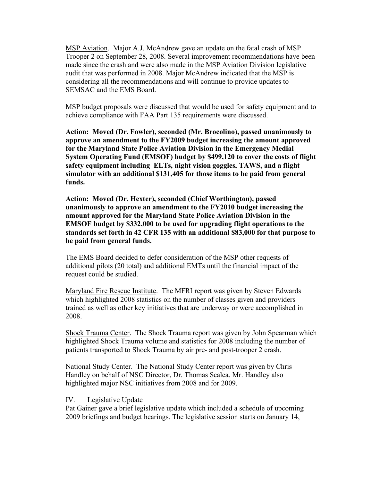MSP Aviation. Major A.J. McAndrew gave an update on the fatal crash of MSP Trooper 2 on September 28, 2008. Several improvement recommendations have been made since the crash and were also made in the MSP Aviation Division legislative audit that was performed in 2008. Major McAndrew indicated that the MSP is considering all the recommendations and will continue to provide updates to SEMSAC and the EMS Board.

MSP budget proposals were discussed that would be used for safety equipment and to achieve compliance with FAA Part 135 requirements were discussed.

**Action: Moved (Dr. Fowler), seconded (Mr. Brocolino), passed unanimously to approve an amendment to the FY2009 budget increasing the amount approved for the Maryland State Police Aviation Division in the Emergency Medial System Operating Fund (EMSOF) budget by \$499,120 to cover the costs of flight safety equipment including ELTs, night vision goggles, TAWS, and a flight simulator with an additional \$131,405 for those items to be paid from general funds.**

**Action: Moved (Dr. Hexter), seconded (Chief Worthington), passed unanimously to approve an amendment to the FY2010 budget increasing the amount approved for the Maryland State Police Aviation Division in the EMSOF budget by \$332,000 to be used for upgrading flight operations to the standards set forth in 42 CFR 135 with an additional \$83,000 for that purpose to be paid from general funds.**

The EMS Board decided to defer consideration of the MSP other requests of additional pilots (20 total) and additional EMTs until the financial impact of the request could be studied.

Maryland Fire Rescue Institute. The MFRI report was given by Steven Edwards which highlighted 2008 statistics on the number of classes given and providers trained as well as other key initiatives that are underway or were accomplished in 2008.

Shock Trauma Center. The Shock Trauma report was given by John Spearman which highlighted Shock Trauma volume and statistics for 2008 including the number of patients transported to Shock Trauma by air pre- and post-trooper 2 crash.

National Study Center. The National Study Center report was given by Chris Handley on behalf of NSC Director, Dr. Thomas Scalea. Mr. Handley also highlighted major NSC initiatives from 2008 and for 2009.

### IV. Legislative Update

Pat Gainer gave a brief legislative update which included a schedule of upcoming 2009 briefings and budget hearings. The legislative session starts on January 14,